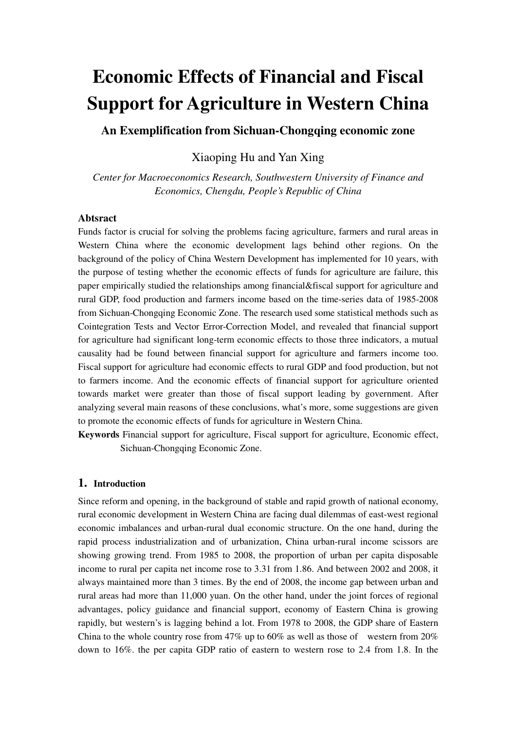# **Economic Effects of Financial and Fiscal Support for Agriculture in Western China**

**An Exemplification from Sichuan-Chongqing economic zone** 

Xiaoping Hu and Yan Xing

*Center for Macroeconomics Research, Southwestern University of Finance and Economics, Chengdu, People's Republic of China* 

## **Abtsract**

Funds factor is crucial for solving the problems facing agriculture, farmers and rural areas in Western China where the economic development lags behind other regions. On the background of the policy of China Western Development has implemented for 10 years, with the purpose of testing whether the economic effects of funds for agriculture are failure, this paper empirically studied the relationships among financial&fiscal support for agriculture and rural GDP, food production and farmers income based on the time-series data of 1985-2008 from Sichuan-Chongqing Economic Zone. The research used some statistical methods such as Cointegration Tests and Vector Error-Correction Model, and revealed that financial support for agriculture had significant long-term economic effects to those three indicators, a mutual causality had be found between financial support for agriculture and farmers income too. Fiscal support for agriculture had economic effects to rural GDP and food production, but not to farmers income. And the economic effects of financial support for agriculture oriented towards market were greater than those of fiscal support leading by government. After analyzing several main reasons of these conclusions, what's more, some suggestions are given to promote the economic effects of funds for agriculture in Western China.

**Keywords** Financial support for agriculture, Fiscal support for agriculture, Economic effect, Sichuan-Chongqing Economic Zone.

## **1. Introduction**

Since reform and opening, in the background of stable and rapid growth of national economy, rural economic development in Western China are facing dual dilemmas of east-west regional economic imbalances and urban-rural dual economic structure. On the one hand, during the rapid process industrialization and of urbanization, China urban-rural income scissors are showing growing trend. From 1985 to 2008, the proportion of urban per capita disposable income to rural per capita net income rose to 3.31 from 1.86. And between 2002 and 2008, it always maintained more than 3 times. By the end of 2008, the income gap between urban and rural areas had more than 11,000 yuan. On the other hand, under the joint forces of regional advantages, policy guidance and financial support, economy of Eastern China is growing rapidly, but western's is lagging behind a lot. From 1978 to 2008, the GDP share of Eastern China to the whole country rose from 47% up to 60% as well as those of western from 20% down to 16%. the per capita GDP ratio of eastern to western rose to 2.4 from 1.8. In the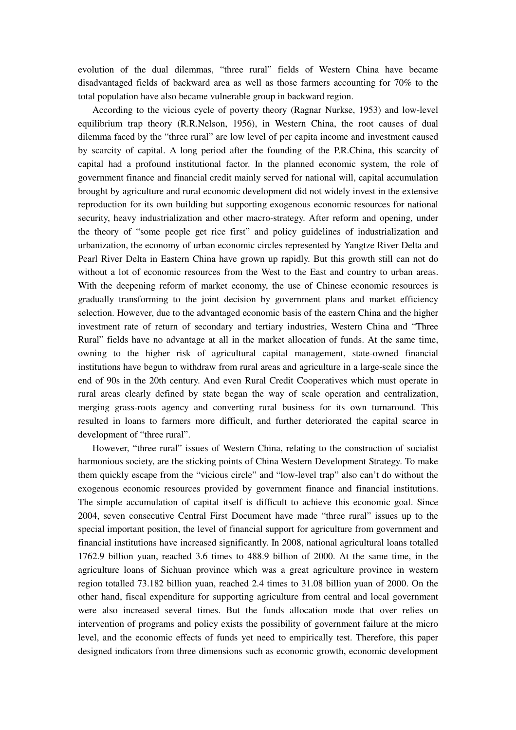evolution of the dual dilemmas, "three rural" fields of Western China have became disadvantaged fields of backward area as well as those farmers accounting for 70% to the total population have also became vulnerable group in backward region.

According to the vicious cycle of poverty theory (Ragnar Nurkse, 1953) and low-level equilibrium trap theory (R.R.Nelson, 1956), in Western China, the root causes of dual dilemma faced by the "three rural" are low level of per capita income and investment caused by scarcity of capital. A long period after the founding of the P.R.China, this scarcity of capital had a profound institutional factor. In the planned economic system, the role of government finance and financial credit mainly served for national will, capital accumulation brought by agriculture and rural economic development did not widely invest in the extensive reproduction for its own building but supporting exogenous economic resources for national security, heavy industrialization and other macro-strategy. After reform and opening, under the theory of "some people get rice first" and policy guidelines of industrialization and urbanization, the economy of urban economic circles represented by Yangtze River Delta and Pearl River Delta in Eastern China have grown up rapidly. But this growth still can not do without a lot of economic resources from the West to the East and country to urban areas. With the deepening reform of market economy, the use of Chinese economic resources is gradually transforming to the joint decision by government plans and market efficiency selection. However, due to the advantaged economic basis of the eastern China and the higher investment rate of return of secondary and tertiary industries, Western China and "Three Rural" fields have no advantage at all in the market allocation of funds. At the same time, owning to the higher risk of agricultural capital management, state-owned financial institutions have begun to withdraw from rural areas and agriculture in a large-scale since the end of 90s in the 20th century. And even Rural Credit Cooperatives which must operate in rural areas clearly defined by state began the way of scale operation and centralization, merging grass-roots agency and converting rural business for its own turnaround. This resulted in loans to farmers more difficult, and further deteriorated the capital scarce in development of "three rural".

However, "three rural" issues of Western China, relating to the construction of socialist harmonious society, are the sticking points of China Western Development Strategy. To make them quickly escape from the "vicious circle" and "low-level trap" also can't do without the exogenous economic resources provided by government finance and financial institutions. The simple accumulation of capital itself is difficult to achieve this economic goal. Since 2004, seven consecutive Central First Document have made "three rural" issues up to the special important position, the level of financial support for agriculture from government and financial institutions have increased significantly. In 2008, national agricultural loans totalled 1762.9 billion yuan, reached 3.6 times to 488.9 billion of 2000. At the same time, in the agriculture loans of Sichuan province which was a great agriculture province in western region totalled 73.182 billion yuan, reached 2.4 times to 31.08 billion yuan of 2000. On the other hand, fiscal expenditure for supporting agriculture from central and local government were also increased several times. But the funds allocation mode that over relies on intervention of programs and policy exists the possibility of government failure at the micro level, and the economic effects of funds yet need to empirically test. Therefore, this paper designed indicators from three dimensions such as economic growth, economic development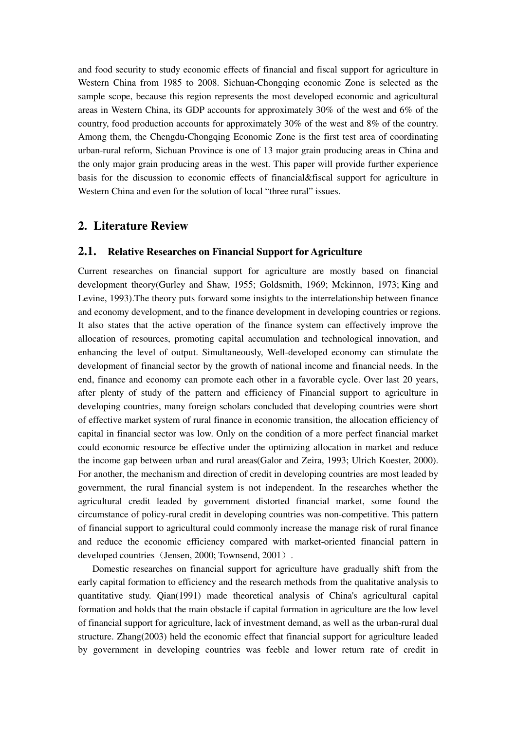and food security to study economic effects of financial and fiscal support for agriculture in Western China from 1985 to 2008. Sichuan-Chongqing economic Zone is selected as the sample scope, because this region represents the most developed economic and agricultural areas in Western China, its GDP accounts for approximately 30% of the west and 6% of the country, food production accounts for approximately 30% of the west and 8% of the country. Among them, the Chengdu-Chongqing Economic Zone is the first test area of coordinating urban-rural reform, Sichuan Province is one of 13 major grain producing areas in China and the only major grain producing areas in the west. This paper will provide further experience basis for the discussion to economic effects of financial&fiscal support for agriculture in Western China and even for the solution of local "three rural" issues.

# **2. Literature Review**

## **2.1. Relative Researches on Financial Support for Agriculture**

Current researches on financial support for agriculture are mostly based on financial development theory(Gurley and Shaw, 1955; Goldsmith, 1969; Mckinnon, 1973; King and Levine, 1993).The theory puts forward some insights to the interrelationship between finance and economy development, and to the finance development in developing countries or regions. It also states that the active operation of the finance system can effectively improve the allocation of resources, promoting capital accumulation and technological innovation, and enhancing the level of output. Simultaneously, Well-developed economy can stimulate the development of financial sector by the growth of national income and financial needs. In the end, finance and economy can promote each other in a favorable cycle. Over last 20 years, after plenty of study of the pattern and efficiency of Financial support to agriculture in developing countries, many foreign scholars concluded that developing countries were short of effective market system of rural finance in economic transition, the allocation efficiency of capital in financial sector was low. Only on the condition of a more perfect financial market could economic resource be effective under the optimizing allocation in market and reduce the income gap between urban and rural areas(Galor and Zeira, 1993; Ulrich Koester, 2000). For another, the mechanism and direction of credit in developing countries are most leaded by government, the rural financial system is not independent. In the researches whether the agricultural credit leaded by government distorted financial market, some found the circumstance of policy-rural credit in developing countries was non-competitive. This pattern of financial support to agricultural could commonly increase the manage risk of rural finance and reduce the economic efficiency compared with market-oriented financial pattern in developed countries (Jensen, 2000; Townsend, 2001).

Domestic researches on financial support for agriculture have gradually shift from the early capital formation to efficiency and the research methods from the qualitative analysis to quantitative study. Qian(1991) made theoretical analysis of China's agricultural capital formation and holds that the main obstacle if capital formation in agriculture are the low level of financial support for agriculture, lack of investment demand, as well as the urban-rural dual structure. Zhang(2003) held the economic effect that financial support for agriculture leaded by government in developing countries was feeble and lower return rate of credit in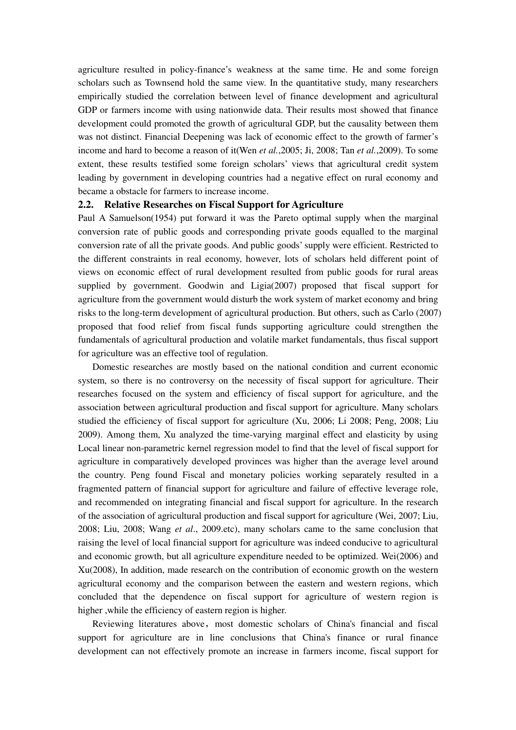agriculture resulted in policy-finance's weakness at the same time. He and some foreign scholars such as Townsend hold the same view. In the quantitative study, many researchers empirically studied the correlation between level of finance development and agricultural GDP or farmers income with using nationwide data. Their results most showed that finance development could promoted the growth of agricultural GDP, but the causality between them was not distinct. Financial Deepening was lack of economic effect to the growth of farmer's income and hard to become a reason of it(Wen *et al.*,2005; Ji, 2008; Tan *et al.*,2009). To some extent, these results testified some foreign scholars' views that agricultural credit system leading by government in developing countries had a negative effect on rural economy and became a obstacle for farmers to increase income.

## **2.2. Relative Researches on Fiscal Support for Agriculture**

Paul A Samuelson(1954) put forward it was the Pareto optimal supply when the marginal conversion rate of public goods and corresponding private goods equalled to the marginal conversion rate of all the private goods. And public goods' supply were efficient. Restricted to the different constraints in real economy, however, lots of scholars held different point of views on economic effect of rural development resulted from public goods for rural areas supplied by government. Goodwin and Ligia(2007) proposed that fiscal support for agriculture from the government would disturb the work system of market economy and bring risks to the long-term development of agricultural production. But others, such as Carlo (2007) proposed that food relief from fiscal funds supporting agriculture could strengthen the fundamentals of agricultural production and volatile market fundamentals, thus fiscal support for agriculture was an effective tool of regulation.

Domestic researches are mostly based on the national condition and current economic system, so there is no controversy on the necessity of fiscal support for agriculture. Their researches focused on the system and efficiency of fiscal support for agriculture, and the association between agricultural production and fiscal support for agriculture. Many scholars studied the efficiency of fiscal support for agriculture (Xu, 2006; Li 2008; Peng, 2008; Liu 2009). Among them, Xu analyzed the time-varying marginal effect and elasticity by using Local linear non-parametric kernel regression model to find that the level of fiscal support for agriculture in comparatively developed provinces was higher than the average level around the country. Peng found Fiscal and monetary policies working separately resulted in a fragmented pattern of financial support for agriculture and failure of effective leverage role, and recommended on integrating financial and fiscal support for agriculture. In the research of the association of agricultural production and fiscal support for agriculture (Wei, 2007; Liu, 2008; Liu, 2008; Wang *et al*., 2009.etc), many scholars came to the same conclusion that raising the level of local financial support for agriculture was indeed conducive to agricultural and economic growth, but all agriculture expenditure needed to be optimized. Wei(2006) and Xu(2008), In addition, made research on the contribution of economic growth on the western agricultural economy and the comparison between the eastern and western regions, which concluded that the dependence on fiscal support for agriculture of western region is higher ,while the efficiency of eastern region is higher.

Reviewing literatures above, most domestic scholars of China's financial and fiscal support for agriculture are in line conclusions that China's finance or rural finance development can not effectively promote an increase in farmers income, fiscal support for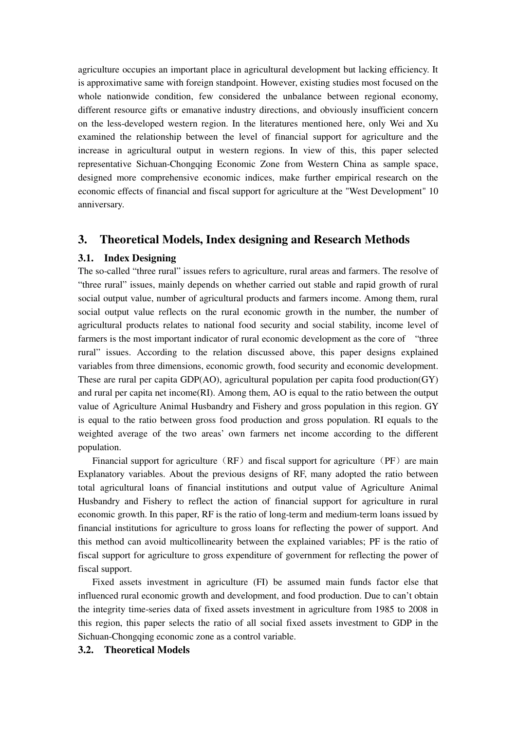agriculture occupies an important place in agricultural development but lacking efficiency. It is approximative same with foreign standpoint. However, existing studies most focused on the whole nationwide condition, few considered the unbalance between regional economy, different resource gifts or emanative industry directions, and obviously insufficient concern on the less-developed western region. In the literatures mentioned here, only Wei and Xu examined the relationship between the level of financial support for agriculture and the increase in agricultural output in western regions. In view of this, this paper selected representative Sichuan-Chongqing Economic Zone from Western China as sample space, designed more comprehensive economic indices, make further empirical research on the economic effects of financial and fiscal support for agriculture at the "West Development" 10 anniversary.

# **3. Theoretical Models, Index designing and Research Methods**

## **3.1. Index Designing**

The so-called "three rural" issues refers to agriculture, rural areas and farmers. The resolve of "three rural" issues, mainly depends on whether carried out stable and rapid growth of rural social output value, number of agricultural products and farmers income. Among them, rural social output value reflects on the rural economic growth in the number, the number of agricultural products relates to national food security and social stability, income level of farmers is the most important indicator of rural economic development as the core of "three rural" issues. According to the relation discussed above, this paper designs explained variables from three dimensions, economic growth, food security and economic development. These are rural per capita GDP(AO), agricultural population per capita food production(GY) and rural per capita net income(RI). Among them, AO is equal to the ratio between the output value of Agriculture Animal Husbandry and Fishery and gross population in this region. GY is equal to the ratio between gross food production and gross population. RI equals to the weighted average of the two areas' own farmers net income according to the different population.

Financial support for agriculture (RF) and fiscal support for agriculture (PF) are main Explanatory variables. About the previous designs of RF, many adopted the ratio between total agricultural loans of financial institutions and output value of Agriculture Animal Husbandry and Fishery to reflect the action of financial support for agriculture in rural economic growth. In this paper, RF is the ratio of long-term and medium-term loans issued by financial institutions for agriculture to gross loans for reflecting the power of support. And this method can avoid multicollinearity between the explained variables; PF is the ratio of fiscal support for agriculture to gross expenditure of government for reflecting the power of fiscal support.

Fixed assets investment in agriculture (FI) be assumed main funds factor else that influenced rural economic growth and development, and food production. Due to can't obtain the integrity time-series data of fixed assets investment in agriculture from 1985 to 2008 in this region, this paper selects the ratio of all social fixed assets investment to GDP in the Sichuan-Chongqing economic zone as a control variable.

## **3.2. Theoretical Models**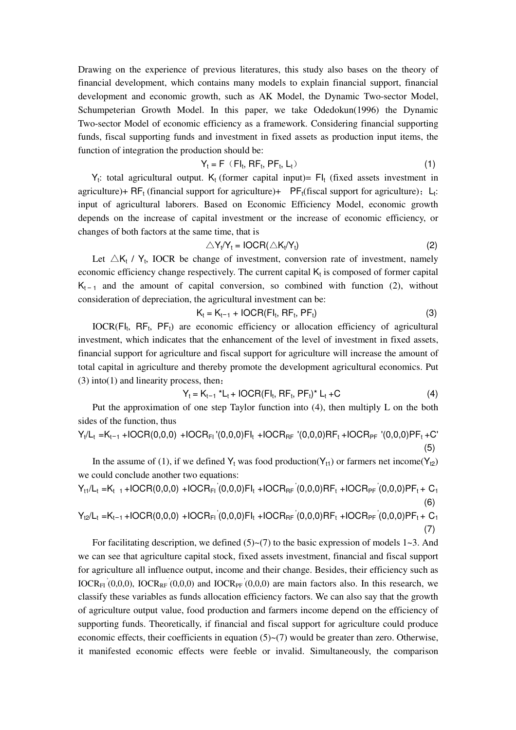Drawing on the experience of previous literatures, this study also bases on the theory of financial development, which contains many models to explain financial support, financial development and economic growth, such as AK Model, the Dynamic Two-sector Model, Schumpeterian Growth Model. In this paper, we take Odedokun(1996) the Dynamic Two-sector Model of economic efficiency as a framework. Considering financial supporting funds, fiscal supporting funds and investment in fixed assets as production input items, the function of integration the production should be:

$$
Y_t = F (FI_t, RF_t, PF_t, L_t)
$$
\n(1)

 $Y_t$ : total agricultural output.  $K_t$  (former capital input)=  $FI_t$  (fixed assets investment in agriculture)+  $RF_t$  (financial support for agriculture)+  $PF_t$  (fiscal support for agriculture);  $L_t$ : input of agricultural laborers. Based on Economic Efficiency Model, economic growth depends on the increase of capital investment or the increase of economic efficiency, or changes of both factors at the same time, that is

$$
\triangle Y_t/Y_t = IOCR(\triangle K_t/Y_t)
$$
 (2)

Let  $\triangle K_t$  /  $Y_t$ , IOCR be change of investment, conversion rate of investment, namely economic efficiency change respectively. The current capital  $K_t$  is composed of former capital  $K_{t-1}$  and the amount of capital conversion, so combined with function (2), without consideration of depreciation, the agricultural investment can be:

$$
K_t = K_{t-1} + \text{IOCR}(FI_t, RF_t, PF_t) \tag{3}
$$

 $IOCR$ ( $FI_t$ ,  $RF_t$ ,  $PF_t$ ) are economic efficiency or allocation efficiency of agricultural investment, which indicates that the enhancement of the level of investment in fixed assets, financial support for agriculture and fiscal support for agriculture will increase the amount of total capital in agriculture and thereby promote the development agricultural economics. Put (3) into(1) and linearity process, then:

$$
Y_t = K_{t-1} * L_t + IOCR(FI_t, RF_t, PF_t) * L_t + C
$$
\n(4)

(7)

Put the approximation of one step Taylor function into (4), then multiply L on the both sides of the function, thus

$$
Y_t/L_t = K_{t-1} + \text{IOCR}(0,0,0) + \text{IOCR}_{FI} \cdot (0,0,0)FL_t + \text{IOCR}_{RF} \cdot (0,0,0)RF_t + \text{IOCR}_{PF} \cdot (0,0,0)PF_t + C' \tag{5}
$$

In the assume of (1), if we defined  $Y_t$  was food production( $Y_{t1}$ ) or farmers net income( $Y_{t2}$ ) we could conclude another two equations:

$$
Y_{t1}/L_{t} = K_{t-1} + \text{IOCR}(0,0,0) + \text{IOCR}_{FI}(0,0,0)FI_{t} + \text{IOCR}_{RF}(0,0,0)RF_{t} + \text{IOCR}_{PF}(0,0,0)PF_{t} + C_{1}
$$
\n(6)  
\n
$$
Y_{t2}/L_{t} = K_{t-1} + \text{IOCR}(0,0,0) + \text{IOCR}_{F1}(0,0,0)FI_{t} + \text{IOCR}_{RF}(0,0,0)RF_{t} + \text{IOCR}_{PF}(0,0,0)PF_{t} + C_{1}
$$

For facilitating description, we defined  $(5)$   $\sim$  (7) to the basic expression of models 1 $\sim$ 3. And we can see that agriculture capital stock, fixed assets investment, financial and fiscal support for agriculture all influence output, income and their change. Besides, their efficiency such as IOCR<sub>FI</sub> (0,0,0), IOCR<sub>RF</sub> (0,0,0) and IOCR<sub>PF</sub> (0,0,0) are main factors also. In this research, we classify these variables as funds allocation efficiency factors. We can also say that the growth of agriculture output value, food production and farmers income depend on the efficiency of supporting funds. Theoretically, if financial and fiscal support for agriculture could produce economic effects, their coefficients in equation  $(5)$   $\sim$   $(7)$  would be greater than zero. Otherwise, it manifested economic effects were feeble or invalid. Simultaneously, the comparison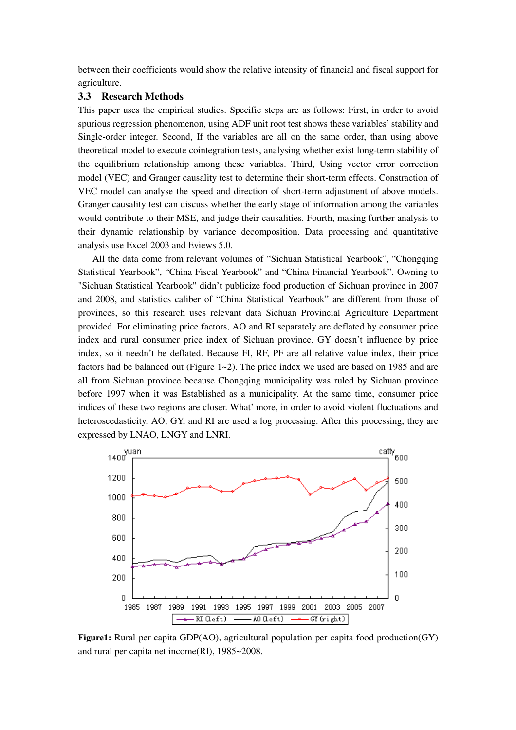between their coefficients would show the relative intensity of financial and fiscal support for agriculture.

## **3.3 Research Methods**

This paper uses the empirical studies. Specific steps are as follows: First, in order to avoid spurious regression phenomenon, using ADF unit root test shows these variables' stability and Single-order integer. Second, If the variables are all on the same order, than using above theoretical model to execute cointegration tests, analysing whether exist long-term stability of the equilibrium relationship among these variables. Third, Using vector error correction model (VEC) and Granger causality test to determine their short-term effects. Constraction of VEC model can analyse the speed and direction of short-term adjustment of above models. Granger causality test can discuss whether the early stage of information among the variables would contribute to their MSE, and judge their causalities. Fourth, making further analysis to their dynamic relationship by variance decomposition. Data processing and quantitative analysis use Excel 2003 and Eviews 5.0.

All the data come from relevant volumes of "Sichuan Statistical Yearbook", "Chongqing Statistical Yearbook", "China Fiscal Yearbook" and "China Financial Yearbook". Owning to "Sichuan Statistical Yearbook" didn't publicize food production of Sichuan province in 2007 and 2008, and statistics caliber of "China Statistical Yearbook" are different from those of provinces, so this research uses relevant data Sichuan Provincial Agriculture Department provided. For eliminating price factors, AO and RI separately are deflated by consumer price index and rural consumer price index of Sichuan province. GY doesn't influence by price index, so it needn't be deflated. Because FI, RF, PF are all relative value index, their price factors had be balanced out (Figure  $1\text{-}2$ ). The price index we used are based on 1985 and are all from Sichuan province because Chongqing municipality was ruled by Sichuan province before 1997 when it was Established as a municipality. At the same time, consumer price indices of these two regions are closer. What' more, in order to avoid violent fluctuations and heteroscedasticity, AO, GY, and RI are used a log processing. After this processing, they are expressed by LNAO, LNGY and LNRI.



**Figure1:** Rural per capita GDP(AO), agricultural population per capita food production(GY) and rural per capita net income(RI), 1985~2008.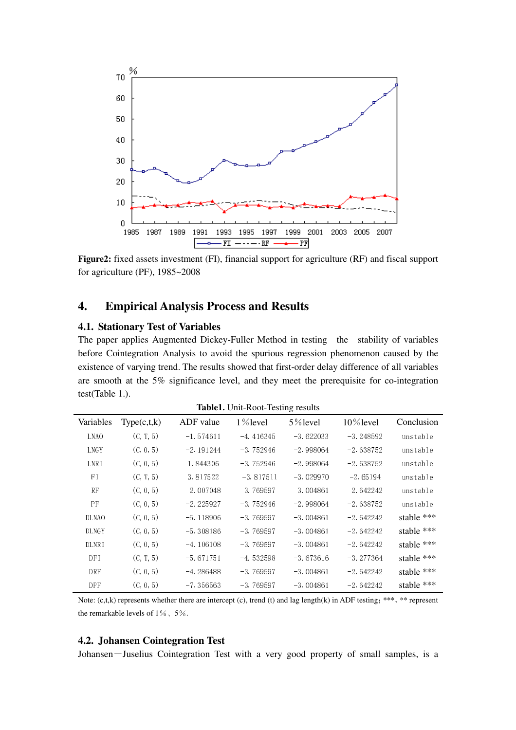

**Figure2:** fixed assets investment (FI), financial support for agriculture (RF) and fiscal support for agriculture (PF), 1985~2008

# **4. Empirical Analysis Process and Results**

## **4.1. Stationary Test of Variables**

The paper applies Augmented Dickey-Fuller Method in testing the stability of variables before Cointegration Analysis to avoid the spurious regression phenomenon caused by the existence of varying trend. The results showed that first-order delay difference of all variables are smooth at the 5% significance level, and they meet the prerequisite for co-integration test(Table 1.).

| raoren emi Root resting restato |               |             |             |             |              |              |  |  |  |
|---------------------------------|---------------|-------------|-------------|-------------|--------------|--------------|--|--|--|
| Variables                       | Type(c, t, k) | ADF value   | $1\%$ level | 5% level    | $10\%$ level | Conclusion   |  |  |  |
| LNA <sub>0</sub>                | (C, T, 5)     | $-1.574611$ | $-4.416345$ | $-3.622033$ | $-3.248592$  | unstable     |  |  |  |
| LNGY                            | (C, 0, 5)     | $-2.191244$ | $-3.752946$ | $-2.998064$ | $-2.638752$  | unstable     |  |  |  |
| LNRI                            | (C, 0, 5)     | 1.844306    | $-3.752946$ | $-2.998064$ | $-2.638752$  | unstable     |  |  |  |
| FI                              | (C, T, 5)     | 3.817522    | $-3.817511$ | $-3.029970$ | $-2.65194$   | unstable     |  |  |  |
| RF                              | (C, 0, 5)     | $-2.007048$ | $-3.769597$ | $-3.004861$ | $-2.642242$  | unstable     |  |  |  |
| PF                              | (C, 0, 5)     | $-2.225927$ | $-3.752946$ | $-2.998064$ | $-2.638752$  | unstable     |  |  |  |
| <b>DLNAO</b>                    | (C, 0, 5)     | $-5.118906$ | $-3.769597$ | $-3.004861$ | $-2.642242$  | stable $***$ |  |  |  |
| <b>DLNGY</b>                    | (C, 0, 5)     | $-5.308186$ | $-3.769597$ | $-3.004861$ | $-2.642242$  | stable ***   |  |  |  |
| DLNRI                           | (C, 0, 5)     | $-4.106108$ | $-3.769597$ | $-3.004861$ | $-2.642242$  | stable ***   |  |  |  |
| DFI                             | (C, T, 5)     | $-5.671751$ | $-4.532598$ | $-3.673616$ | $-3.277364$  | stable ***   |  |  |  |
| <b>DRF</b>                      | (C, 0, 5)     | $-4.286488$ | $-3.769597$ | $-3.004861$ | $-2.642242$  | stable ***   |  |  |  |
| DPF                             | (C, 0, 5)     | $-7.356563$ | $-3.769597$ | $-3.004861$ | $-2.642242$  | stable ***   |  |  |  |

**Table1.** Unit-Root-Testing results

Note:  $(c, t, k)$  represents whether there are intercept  $(c)$ , trend  $(t)$  and lag length $(k)$  in ADF testing; \*\*\*, \*\* represent the remarkable levels of  $1\%$ ,  $5\%$ .

### **4.2. Johansen Cointegration Test**

Johansen-Juselius Cointegration Test with a very good property of small samples, is a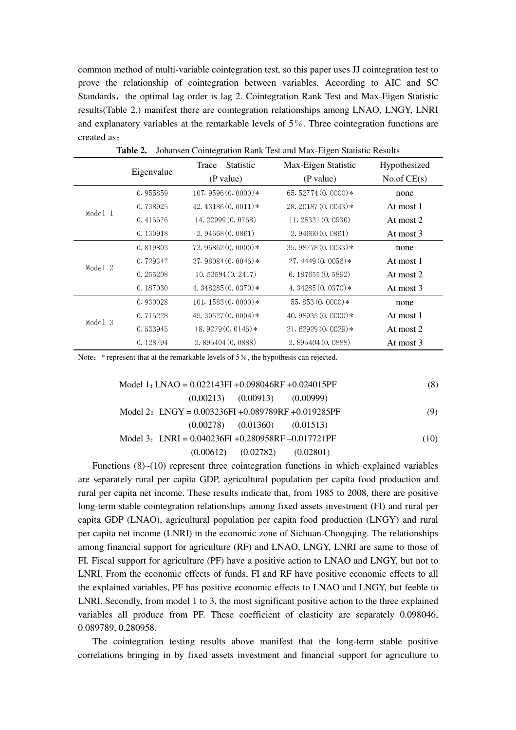common method of multi-variable cointegration test, so this paper uses JJ cointegration test to prove the relationship of cointegration between variables. According to AIC and SC Standards, the optimal lag order is lag 2. Cointegration Rank Test and Max-Eigen Statistic results(Table 2.) manifest there are cointegration relationships among LNAO, LNGY, LNRI and explanatory variables at the remarkable levels of 5%. Three cointegration functions are created as:

| commodit conneglation runne root and many Eigen biatione recounts |            |                           |                      |               |  |  |  |  |  |
|-------------------------------------------------------------------|------------|---------------------------|----------------------|---------------|--|--|--|--|--|
|                                                                   | Eigenvalue | <b>Statistic</b><br>Trace | Max-Eigen Statistic  | Hypothesized  |  |  |  |  |  |
|                                                                   |            | (P value)                 | (P value)            | No.of $CE(s)$ |  |  |  |  |  |
|                                                                   | 0.955859   | 107.9596 $(0.0000)*$      | 65.52774 $(0.0000)*$ | none          |  |  |  |  |  |
|                                                                   | 0.738925   | 42.43186 $(0.0011)*$      | 28.20187 (0.0043) *  | At most 1     |  |  |  |  |  |
| Model 1                                                           | 0.415676   | 14.22999 (0.0768)         | 11.28331(0.0930)     | At most 2     |  |  |  |  |  |
|                                                                   | 0.130918   | 2.94668(0.0861)           | 2.94660(0.0861)      | At most 3     |  |  |  |  |  |
|                                                                   | 0.819803   | $73.96862(0.0000)*$       | $35.98778(0.0033)*$  | none          |  |  |  |  |  |
| Model 2                                                           | 0.729342   | $37.98084(0.0046)$ *      | $27.4449(0.0056)*$   | At most 1     |  |  |  |  |  |
|                                                                   | 0.255208   | 10.53594(0.2417)          | 6.187655(0.5892)     | At most 2     |  |  |  |  |  |
|                                                                   | 0.187030   | 4.348285 $(0.0370)*$      | 4.34285 $(0.0370)*$  | At most 3     |  |  |  |  |  |
|                                                                   | 0.930028   | $101.1583(0.0000)*$       | $55.853(0.0000)*$    | none          |  |  |  |  |  |
|                                                                   | 0.715228   | 45.30527 $(0.0004)$ *     | 40.98935 $(0.0000)*$ | At most 1     |  |  |  |  |  |
| Model 3                                                           | 0.533945   | 18.9279 $(0.0146)*$       | $21.62929(0.0029)*$  | At most 2     |  |  |  |  |  |
|                                                                   | 0.128794   | 2.895404(0.0888)          | 2.895404(0.0888)     | At most 3     |  |  |  |  |  |

**Table 2.** Johansen Cointegration Rank Test and Max-Eigen Statistic Results

Note: \* represent that at the remarkable levels of 5%, the hypothesis can rejected.

| Model 1: LNAO = $0.022143FI + 0.098046RF + 0.024015PF$ | (8)                     |
|--------------------------------------------------------|-------------------------|
| $(0.00213)$ $(0.00913)$ $(0.00999)$                    |                         |
| Model 2: LNGY = $0.003236FI + 0.089789RF + 0.019285PF$ | (9)                     |
| $(0.00278)$ $(0.01360)$ $(0.01513)$                    |                         |
| Model 3: LNRI = $0.040236FI + 0.280958RF - 0.017721PF$ | (10)                    |
| (0.00612)                                              | $(0.02782)$ $(0.02801)$ |

Functions  $(8)$   $\sim$   $(10)$  represent three cointegration functions in which explained variables are separately rural per capita GDP, agricultural population per capita food production and rural per capita net income. These results indicate that, from 1985 to 2008, there are positive long-term stable cointegration relationships among fixed assets investment (FI) and rural per capita GDP (LNAO), agricultural population per capita food production (LNGY) and rural per capita net income (LNRI) in the economic zone of Sichuan-Chongqing. The relationships among financial support for agriculture (RF) and LNAO, LNGY, LNRI are same to those of FI. Fiscal support for agriculture (PF) have a positive action to LNAO and LNGY, but not to LNRI. From the economic effects of funds, FI and RF have positive economic effects to all the explained variables, PF has positive economic effects to LNAO and LNGY, but feeble to LNRI. Secondly, from model 1 to 3, the most significant positive action to the three explained variables all produce from PF. These coefficient of elasticity are separately 0.098046, 0.089789, 0.280958.

The cointegration testing results above manifest that the long-term stable positive correlations bringing in by fixed assets investment and financial support for agriculture to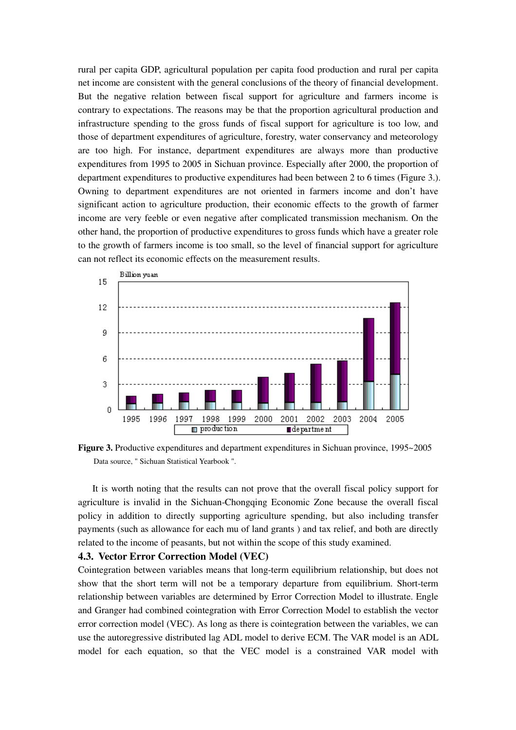rural per capita GDP, agricultural population per capita food production and rural per capita net income are consistent with the general conclusions of the theory of financial development. But the negative relation between fiscal support for agriculture and farmers income is contrary to expectations. The reasons may be that the proportion agricultural production and infrastructure spending to the gross funds of fiscal support for agriculture is too low, and those of department expenditures of agriculture, forestry, water conservancy and meteorology are too high. For instance, department expenditures are always more than productive expenditures from 1995 to 2005 in Sichuan province. Especially after 2000, the proportion of department expenditures to productive expenditures had been between 2 to 6 times (Figure 3.). Owning to department expenditures are not oriented in farmers income and don't have significant action to agriculture production, their economic effects to the growth of farmer income are very feeble or even negative after complicated transmission mechanism. On the other hand, the proportion of productive expenditures to gross funds which have a greater role to the growth of farmers income is too small, so the level of financial support for agriculture can not reflect its economic effects on the measurement results.



Figure 3. Productive expenditures and department expenditures in Sichuan province, 1995~2005 Data source, " Sichuan Statistical Yearbook ".

It is worth noting that the results can not prove that the overall fiscal policy support for agriculture is invalid in the Sichuan-Chongqing Economic Zone because the overall fiscal policy in addition to directly supporting agriculture spending, but also including transfer payments (such as allowance for each mu of land grants ) and tax relief, and both are directly related to the income of peasants, but not within the scope of this study examined.

## **4.3. Vector Error Correction Model (VEC)**

Cointegration between variables means that long-term equilibrium relationship, but does not show that the short term will not be a temporary departure from equilibrium. Short-term relationship between variables are determined by Error Correction Model to illustrate. Engle and Granger had combined cointegration with Error Correction Model to establish the vector error correction model (VEC). As long as there is cointegration between the variables, we can use the autoregressive distributed lag ADL model to derive ECM. The VAR model is an ADL model for each equation, so that the VEC model is a constrained VAR model with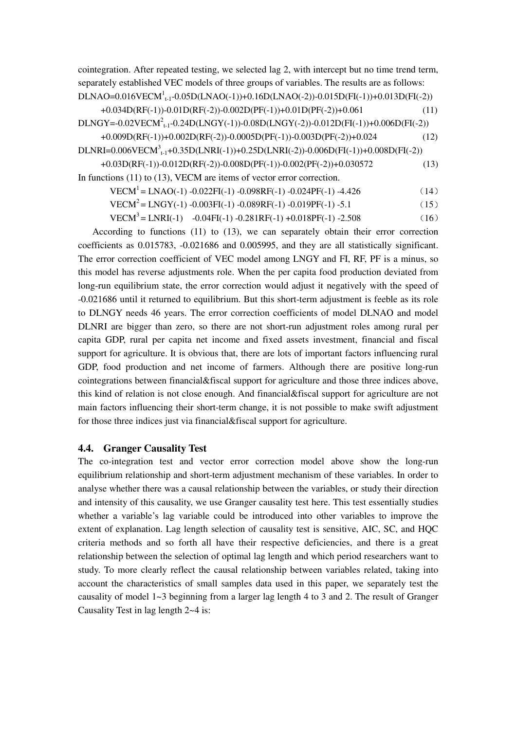cointegration. After repeated testing, we selected lag 2, with intercept but no time trend term, separately established VEC models of three groups of variables. The results are as follows: DLNAO=0.016VECM<sup>1</sup><sub>t-1</sub>-0.05D(LNAO(-1))+0.16D(LNAO(-2))-0.015D(FI(-1))+0.013D(FI(-2)) +0.034D(RF(-1))-0.01D(RF(-2))-0.002D(PF(-1))+0.01D(PF(-2))+0.061 (11)

 $\rm{DLNGY}{=}{-}0.02{\rm{VECM}}^2_{t-1}{-}0.24D(\rm{LNGY}({-}1)){-}0.08D(\rm{LNGY}({-}2){}){-}0.012D(\rm{FI}({-}1)){+}0.006D(\rm{FI}({-}2))$ +0.009D(RF(-1))+0.002D(RF(-2))-0.0005D(PF(-1))-0.003D(PF(-2))+0.024 (12)

DLNRI=0.006VECM<sup>3</sup><sub>t-1</sub>+0.35D(LNRI(-1))+0.25D(LNRI(-2))-0.006D(FI(-1))+0.008D(FI(-2))

+0.03D(RF(-1))-0.012D(RF(-2))-0.008D(PF(-1))-0.002(PF(-2))+0.030572 (13) In functions (11) to (13), VECM are items of vector error correction.

 $VECM<sup>1</sup> = LNAO(-1) - 0.022FI(-1) - 0.098RF(-1) - 0.024PF(-1) - 4.426$  (14)

 $VECM<sup>2</sup> = LNGY(-1) - 0.003FI(-1) - 0.089RF(-1) - 0.019PF(-1) - 5.1$  (15)

 $VECM<sup>3</sup> = LNRI(-1) -0.04FI(-1) -0.281RF(-1) +0.018PF(-1) -2.508$  (16)

According to functions (11) to (13), we can separately obtain their error correction coefficients as 0.015783, -0.021686 and 0.005995, and they are all statistically significant. The error correction coefficient of VEC model among LNGY and FI, RF, PF is a minus, so this model has reverse adjustments role. When the per capita food production deviated from long-run equilibrium state, the error correction would adjust it negatively with the speed of -0.021686 until it returned to equilibrium. But this short-term adjustment is feeble as its role to DLNGY needs 46 years. The error correction coefficients of model DLNAO and model DLNRI are bigger than zero, so there are not short-run adjustment roles among rural per capita GDP, rural per capita net income and fixed assets investment, financial and fiscal support for agriculture. It is obvious that, there are lots of important factors influencing rural GDP, food production and net income of farmers. Although there are positive long-run cointegrations between financial&fiscal support for agriculture and those three indices above, this kind of relation is not close enough. And financial&fiscal support for agriculture are not main factors influencing their short-term change, it is not possible to make swift adjustment for those three indices just via financial&fiscal support for agriculture.

## **4.4. Granger Causality Test**

The co-integration test and vector error correction model above show the long-run equilibrium relationship and short-term adjustment mechanism of these variables. In order to analyse whether there was a causal relationship between the variables, or study their direction and intensity of this causality, we use Granger causality test here. This test essentially studies whether a variable's lag variable could be introduced into other variables to improve the extent of explanation. Lag length selection of causality test is sensitive, AIC, SC, and HQC criteria methods and so forth all have their respective deficiencies, and there is a great relationship between the selection of optimal lag length and which period researchers want to study. To more clearly reflect the causal relationship between variables related, taking into account the characteristics of small samples data used in this paper, we separately test the causality of model 1~3 beginning from a larger lag length 4 to 3 and 2. The result of Granger Causality Test in lag length 2~4 is: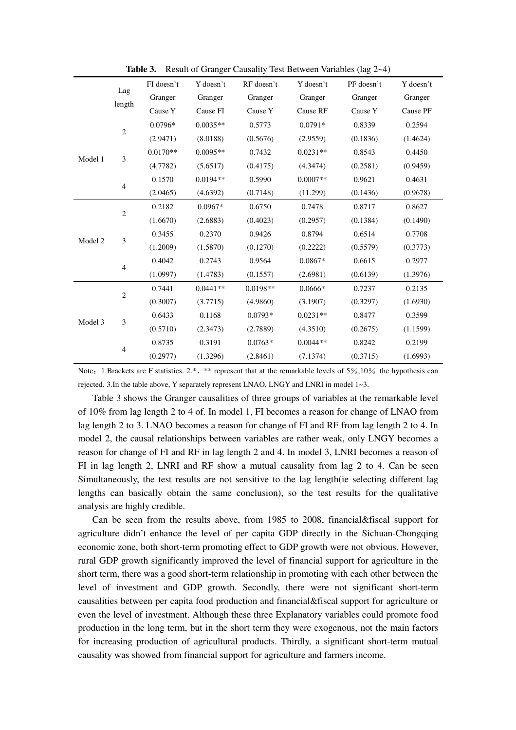|                                                                                                                                                                                                                                                                                                                                                                                                                                                                                                                                                                                                                                                                                                                                                                                                          |  | FI doesn't | Y doesn't  | RF doesn't | Y doesn't | PF doesn't                                                                                                                                                                                                                                                                                                                                                                                                                                   | Y doesn't |
|----------------------------------------------------------------------------------------------------------------------------------------------------------------------------------------------------------------------------------------------------------------------------------------------------------------------------------------------------------------------------------------------------------------------------------------------------------------------------------------------------------------------------------------------------------------------------------------------------------------------------------------------------------------------------------------------------------------------------------------------------------------------------------------------------------|--|------------|------------|------------|-----------|----------------------------------------------------------------------------------------------------------------------------------------------------------------------------------------------------------------------------------------------------------------------------------------------------------------------------------------------------------------------------------------------------------------------------------------------|-----------|
|                                                                                                                                                                                                                                                                                                                                                                                                                                                                                                                                                                                                                                                                                                                                                                                                          |  | Granger    | Granger    | Granger    | Granger   | Granger                                                                                                                                                                                                                                                                                                                                                                                                                                      | Granger   |
|                                                                                                                                                                                                                                                                                                                                                                                                                                                                                                                                                                                                                                                                                                                                                                                                          |  | Cause Y    | Cause FI   | Cause Y    | Cause RF  | Cause Y<br>$0.0791*$<br>0.8339<br>(0.1836)<br>(2.9559)<br>$0.0231**$<br>0.8543<br>(0.2581)<br>(4.3474)<br>0.9621<br>$0.0007**$<br>(0.1436)<br>(11.299)<br>0.8717<br>0.7478<br>(0.2957)<br>(0.1384)<br>0.6514<br>0.8794<br>(0.2222)<br>(0.5579)<br>0.6615<br>$0.0867*$<br>(2.6981)<br>(0.6139)<br>$0.0666*$<br>0.7237<br>(3.1907)<br>(0.3297)<br>0.8477<br>$0.0231**$<br>(4.3510)<br>(0.2675)<br>$0.0044**$<br>0.8242<br>(0.3715)<br>(7.1374) | Cause PF  |
|                                                                                                                                                                                                                                                                                                                                                                                                                                                                                                                                                                                                                                                                                                                                                                                                          |  | 0.0796*    | $0.0035**$ | 0.5773     |           |                                                                                                                                                                                                                                                                                                                                                                                                                                              | 0.2594    |
| Lag<br>length<br>$\sqrt{2}$<br>(2.9471)<br>(0.5676)<br>(8.0188)<br>$0.0170**$<br>$0.0095**$<br>0.7432<br>3<br>Model 1<br>(4.7782)<br>(0.4175)<br>(5.6517)<br>0.1570<br>0.5990<br>$0.0194**$<br>$\overline{4}$<br>(4.6392)<br>(0.7148)<br>(2.0465)<br>0.2182<br>$0.0967*$<br>0.6750<br>$\sqrt{2}$<br>(1.6670)<br>(0.4023)<br>(2.6883)<br>0.3455<br>0.2370<br>0.9426<br>$\mathfrak{Z}$<br>Model 2<br>(1.2009)<br>(1.5870)<br>(0.1270)<br>0.4042<br>0.2743<br>0.9564<br>$\overline{4}$<br>(1.0997)<br>(1.4783)<br>(0.1557)<br>0.7441<br>$0.0441**$<br>$0.0198**$<br>$\sqrt{2}$<br>(0.3007)<br>(3.7715)<br>(4.9860)<br>0.6433<br>0.1168<br>$0.0793*$<br>$\mathfrak{Z}$<br>Model 3<br>(0.5710)<br>(2.3473)<br>(2.7889)<br>0.8735<br>0.3191<br>$0.0763*$<br>$\overline{4}$<br>(0.2977)<br>(1.3296)<br>(2.8461) |  |            | (1.4624)   |            |           |                                                                                                                                                                                                                                                                                                                                                                                                                                              |           |
|                                                                                                                                                                                                                                                                                                                                                                                                                                                                                                                                                                                                                                                                                                                                                                                                          |  |            |            |            |           |                                                                                                                                                                                                                                                                                                                                                                                                                                              | 0.4450    |
|                                                                                                                                                                                                                                                                                                                                                                                                                                                                                                                                                                                                                                                                                                                                                                                                          |  |            |            |            |           |                                                                                                                                                                                                                                                                                                                                                                                                                                              | (0.9459)  |
|                                                                                                                                                                                                                                                                                                                                                                                                                                                                                                                                                                                                                                                                                                                                                                                                          |  |            |            |            |           |                                                                                                                                                                                                                                                                                                                                                                                                                                              | 0.4631    |
|                                                                                                                                                                                                                                                                                                                                                                                                                                                                                                                                                                                                                                                                                                                                                                                                          |  |            |            |            |           |                                                                                                                                                                                                                                                                                                                                                                                                                                              | (0.9678)  |
|                                                                                                                                                                                                                                                                                                                                                                                                                                                                                                                                                                                                                                                                                                                                                                                                          |  |            |            |            |           |                                                                                                                                                                                                                                                                                                                                                                                                                                              | 0.8627    |
|                                                                                                                                                                                                                                                                                                                                                                                                                                                                                                                                                                                                                                                                                                                                                                                                          |  |            |            |            |           |                                                                                                                                                                                                                                                                                                                                                                                                                                              | (0.1490)  |
|                                                                                                                                                                                                                                                                                                                                                                                                                                                                                                                                                                                                                                                                                                                                                                                                          |  |            |            |            |           |                                                                                                                                                                                                                                                                                                                                                                                                                                              | 0.7708    |
|                                                                                                                                                                                                                                                                                                                                                                                                                                                                                                                                                                                                                                                                                                                                                                                                          |  |            |            |            |           |                                                                                                                                                                                                                                                                                                                                                                                                                                              | (0.3773)  |
|                                                                                                                                                                                                                                                                                                                                                                                                                                                                                                                                                                                                                                                                                                                                                                                                          |  |            |            |            |           |                                                                                                                                                                                                                                                                                                                                                                                                                                              | 0.2977    |
|                                                                                                                                                                                                                                                                                                                                                                                                                                                                                                                                                                                                                                                                                                                                                                                                          |  |            |            |            |           |                                                                                                                                                                                                                                                                                                                                                                                                                                              | (1.3976)  |
|                                                                                                                                                                                                                                                                                                                                                                                                                                                                                                                                                                                                                                                                                                                                                                                                          |  |            |            |            |           |                                                                                                                                                                                                                                                                                                                                                                                                                                              | 0.2135    |
|                                                                                                                                                                                                                                                                                                                                                                                                                                                                                                                                                                                                                                                                                                                                                                                                          |  |            |            |            |           |                                                                                                                                                                                                                                                                                                                                                                                                                                              | (1.6930)  |
|                                                                                                                                                                                                                                                                                                                                                                                                                                                                                                                                                                                                                                                                                                                                                                                                          |  |            |            |            |           |                                                                                                                                                                                                                                                                                                                                                                                                                                              | 0.3599    |
|                                                                                                                                                                                                                                                                                                                                                                                                                                                                                                                                                                                                                                                                                                                                                                                                          |  |            |            |            |           |                                                                                                                                                                                                                                                                                                                                                                                                                                              | (1.1599)  |
|                                                                                                                                                                                                                                                                                                                                                                                                                                                                                                                                                                                                                                                                                                                                                                                                          |  |            |            |            |           |                                                                                                                                                                                                                                                                                                                                                                                                                                              | 0.2199    |
|                                                                                                                                                                                                                                                                                                                                                                                                                                                                                                                                                                                                                                                                                                                                                                                                          |  |            |            |            |           |                                                                                                                                                                                                                                                                                                                                                                                                                                              | (1.6993)  |

**Table 3.** Result of Granger Causality Test Between Variables (lag 2~4)

Note: 1.Brackets are F statistics. 2.\*, \*\* represent that at the remarkable levels of 5%,10% the hypothesis can rejected. 3.In the table above, Y separately represent LNAO, LNGY and LNRI in model 1~3.

Table 3 shows the Granger causalities of three groups of variables at the remarkable level of 10% from lag length 2 to 4 of. In model 1, FI becomes a reason for change of LNAO from lag length 2 to 3. LNAO becomes a reason for change of FI and RF from lag length 2 to 4. In model 2, the causal relationships between variables are rather weak, only LNGY becomes a reason for change of FI and RF in lag length 2 and 4. In model 3, LNRI becomes a reason of FI in lag length 2, LNRI and RF show a mutual causality from lag 2 to 4. Can be seen Simultaneously, the test results are not sensitive to the lag length(ie selecting different lag lengths can basically obtain the same conclusion), so the test results for the qualitative analysis are highly credible.

Can be seen from the results above, from 1985 to 2008, financial&fiscal support for agriculture didn't enhance the level of per capita GDP directly in the Sichuan-Chongqing economic zone, both short-term promoting effect to GDP growth were not obvious. However, rural GDP growth significantly improved the level of financial support for agriculture in the short term, there was a good short-term relationship in promoting with each other between the level of investment and GDP growth. Secondly, there were not significant short-term causalities between per capita food production and financial&fiscal support for agriculture or even the level of investment. Although these three Explanatory variables could promote food production in the long term, but in the short term they were exogenous, not the main factors for increasing production of agricultural products. Thirdly, a significant short-term mutual causality was showed from financial support for agriculture and farmers income.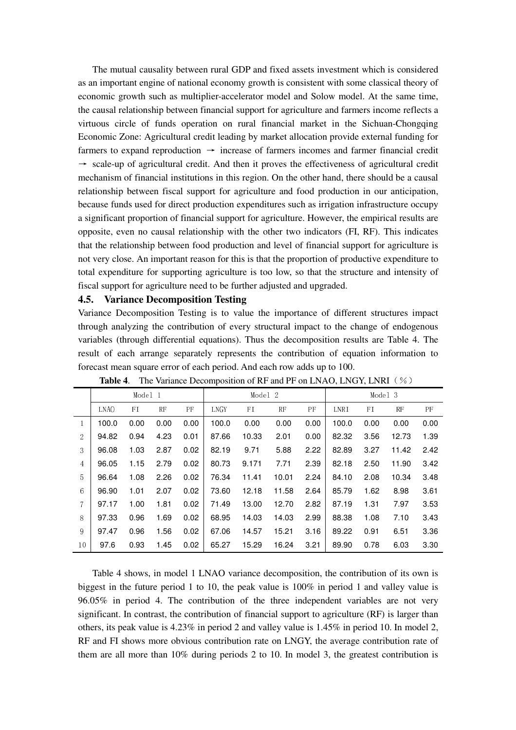The mutual causality between rural GDP and fixed assets investment which is considered as an important engine of national economy growth is consistent with some classical theory of economic growth such as multiplier-accelerator model and Solow model. At the same time, the causal relationship between financial support for agriculture and farmers income reflects a virtuous circle of funds operation on rural financial market in the Sichuan-Chongqing Economic Zone: Agricultural credit leading by market allocation provide external funding for farmers to expand reproduction  $\rightarrow$  increase of farmers incomes and farmer financial credit  $\rightarrow$  scale-up of agricultural credit. And then it proves the effectiveness of agricultural credit mechanism of financial institutions in this region. On the other hand, there should be a causal relationship between fiscal support for agriculture and food production in our anticipation, because funds used for direct production expenditures such as irrigation infrastructure occupy a significant proportion of financial support for agriculture. However, the empirical results are opposite, even no causal relationship with the other two indicators (FI, RF). This indicates that the relationship between food production and level of financial support for agriculture is not very close. An important reason for this is that the proportion of productive expenditure to total expenditure for supporting agriculture is too low, so that the structure and intensity of fiscal support for agriculture need to be further adjusted and upgraded.

#### **4.5. Variance Decomposition Testing**

Variance Decomposition Testing is to value the importance of different structures impact through analyzing the contribution of every structural impact to the change of endogenous variables (through differential equations). Thus the decomposition results are Table 4. The result of each arrange separately represents the contribution of equation information to forecast mean square error of each period. And each row adds up to 100.

|                |                  | Model 1 |      |      | Model 2     |       |       | Model 3 |       |      |       |      |
|----------------|------------------|---------|------|------|-------------|-------|-------|---------|-------|------|-------|------|
|                | LNA <sub>0</sub> | FI      | RF   | PF   | <b>LNGY</b> | FI    | RF    | PF      | LNRI  | FI   | RF    | PF   |
| 1              | 100.0            | 0.00    | 0.00 | 0.00 | 100.0       | 0.00  | 0.00  | 0.00    | 100.0 | 0.00 | 0.00  | 0.00 |
| 2              | 94.82            | 0.94    | 4.23 | 0.01 | 87.66       | 10.33 | 2.01  | 0.00    | 82.32 | 3.56 | 12.73 | 1.39 |
| 3              | 96.08            | 1.03    | 2.87 | 0.02 | 82.19       | 9.71  | 5.88  | 2.22    | 82.89 | 3.27 | 11.42 | 2.42 |
| $\overline{4}$ | 96.05            | 1.15    | 2.79 | 0.02 | 80.73       | 9.171 | 7.71  | 2.39    | 82.18 | 2.50 | 11.90 | 3.42 |
| 5              | 96.64            | 1.08    | 2.26 | 0.02 | 76.34       | 11.41 | 10.01 | 2.24    | 84.10 | 2.08 | 10.34 | 3.48 |
| 6              | 96.90            | 1.01    | 2.07 | 0.02 | 73.60       | 12.18 | 11.58 | 2.64    | 85.79 | 1.62 | 8.98  | 3.61 |
| 7              | 97.17            | 1.00    | 1.81 | 0.02 | 71.49       | 13.00 | 12.70 | 2.82    | 87.19 | 1.31 | 7.97  | 3.53 |
| 8              | 97.33            | 0.96    | 1.69 | 0.02 | 68.95       | 14.03 | 14.03 | 2.99    | 88.38 | 1.08 | 7.10  | 3.43 |
| 9              | 97.47            | 0.96    | 1.56 | 0.02 | 67.06       | 14.57 | 15.21 | 3.16    | 89.22 | 0.91 | 6.51  | 3.36 |
| 10             | 97.6             | 0.93    | 1.45 | 0.02 | 65.27       | 15.29 | 16.24 | 3.21    | 89.90 | 0.78 | 6.03  | 3.30 |

**Table 4.** The Variance Decomposition of RF and PF on LNAO, LNGY, LNRI (%)

Table 4 shows, in model 1 LNAO variance decomposition, the contribution of its own is biggest in the future period 1 to 10, the peak value is 100% in period 1 and valley value is 96.05% in period 4. The contribution of the three independent variables are not very significant. In contrast, the contribution of financial support to agriculture (RF) is larger than others, its peak value is 4.23% in period 2 and valley value is 1.45% in period 10. In model 2, RF and FI shows more obvious contribution rate on LNGY, the average contribution rate of them are all more than 10% during periods 2 to 10. In model 3, the greatest contribution is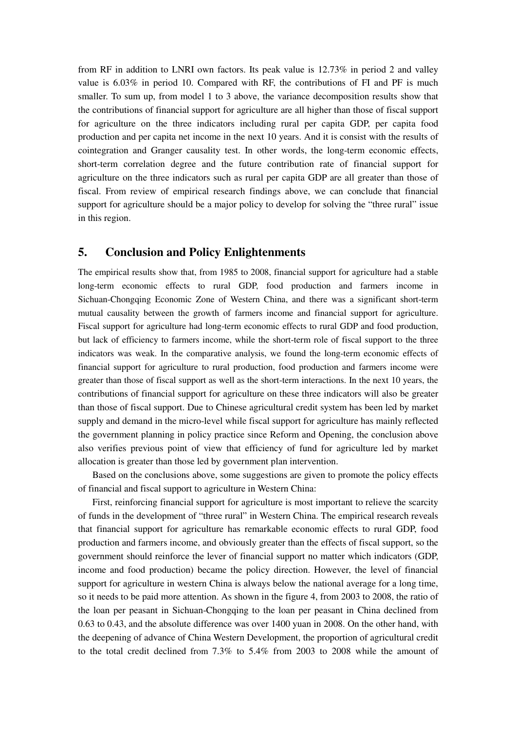from RF in addition to LNRI own factors. Its peak value is 12.73% in period 2 and valley value is 6.03% in period 10. Compared with RF, the contributions of FI and PF is much smaller. To sum up, from model 1 to 3 above, the variance decomposition results show that the contributions of financial support for agriculture are all higher than those of fiscal support for agriculture on the three indicators including rural per capita GDP, per capita food production and per capita net income in the next 10 years. And it is consist with the results of cointegration and Granger causality test. In other words, the long-term economic effects, short-term correlation degree and the future contribution rate of financial support for agriculture on the three indicators such as rural per capita GDP are all greater than those of fiscal. From review of empirical research findings above, we can conclude that financial support for agriculture should be a major policy to develop for solving the "three rural" issue in this region.

# **5. Conclusion and Policy Enlightenments**

The empirical results show that, from 1985 to 2008, financial support for agriculture had a stable long-term economic effects to rural GDP, food production and farmers income in Sichuan-Chongqing Economic Zone of Western China, and there was a significant short-term mutual causality between the growth of farmers income and financial support for agriculture. Fiscal support for agriculture had long-term economic effects to rural GDP and food production, but lack of efficiency to farmers income, while the short-term role of fiscal support to the three indicators was weak. In the comparative analysis, we found the long-term economic effects of financial support for agriculture to rural production, food production and farmers income were greater than those of fiscal support as well as the short-term interactions. In the next 10 years, the contributions of financial support for agriculture on these three indicators will also be greater than those of fiscal support. Due to Chinese agricultural credit system has been led by market supply and demand in the micro-level while fiscal support for agriculture has mainly reflected the government planning in policy practice since Reform and Opening, the conclusion above also verifies previous point of view that efficiency of fund for agriculture led by market allocation is greater than those led by government plan intervention.

Based on the conclusions above, some suggestions are given to promote the policy effects of financial and fiscal support to agriculture in Western China:

First, reinforcing financial support for agriculture is most important to relieve the scarcity of funds in the development of "three rural" in Western China. The empirical research reveals that financial support for agriculture has remarkable economic effects to rural GDP, food production and farmers income, and obviously greater than the effects of fiscal support, so the government should reinforce the lever of financial support no matter which indicators (GDP, income and food production) became the policy direction. However, the level of financial support for agriculture in western China is always below the national average for a long time, so it needs to be paid more attention. As shown in the figure 4, from 2003 to 2008, the ratio of the loan per peasant in Sichuan-Chongqing to the loan per peasant in China declined from 0.63 to 0.43, and the absolute difference was over 1400 yuan in 2008. On the other hand, with the deepening of advance of China Western Development, the proportion of agricultural credit to the total credit declined from 7.3% to 5.4% from 2003 to 2008 while the amount of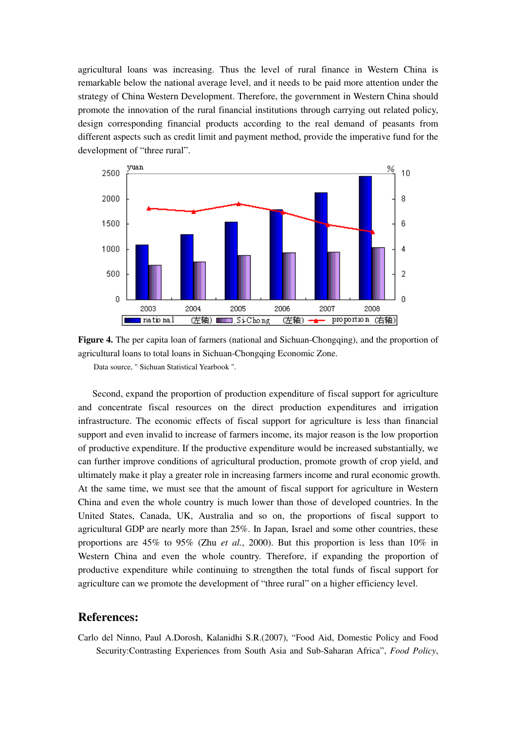agricultural loans was increasing. Thus the level of rural finance in Western China is remarkable below the national average level, and it needs to be paid more attention under the strategy of China Western Development. Therefore, the government in Western China should promote the innovation of the rural financial institutions through carrying out related policy, design corresponding financial products according to the real demand of peasants from different aspects such as credit limit and payment method, provide the imperative fund for the development of "three rural".





Data source, " Sichuan Statistical Yearbook ".

Second, expand the proportion of production expenditure of fiscal support for agriculture and concentrate fiscal resources on the direct production expenditures and irrigation infrastructure. The economic effects of fiscal support for agriculture is less than financial support and even invalid to increase of farmers income, its major reason is the low proportion of productive expenditure. If the productive expenditure would be increased substantially, we can further improve conditions of agricultural production, promote growth of crop yield, and ultimately make it play a greater role in increasing farmers income and rural economic growth. At the same time, we must see that the amount of fiscal support for agriculture in Western China and even the whole country is much lower than those of developed countries. In the United States, Canada, UK, Australia and so on, the proportions of fiscal support to agricultural GDP are nearly more than 25%. In Japan, Israel and some other countries, these proportions are 45% to 95% (Zhu *et al.*, 2000). But this proportion is less than 10% in Western China and even the whole country. Therefore, if expanding the proportion of productive expenditure while continuing to strengthen the total funds of fiscal support for agriculture can we promote the development of "three rural" on a higher efficiency level.

## **References:**

Carlo del Ninno, Paul A.Dorosh, Kalanidhi S.R.(2007), "Food Aid, Domestic Policy and Food Security:Contrasting Experiences from South Asia and Sub-Saharan Africa", *Food Policy*,